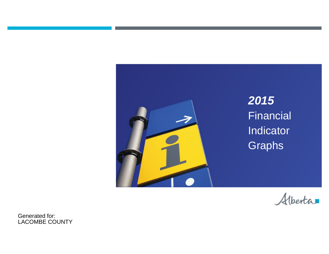



Generated for: LACOMBE COUNTY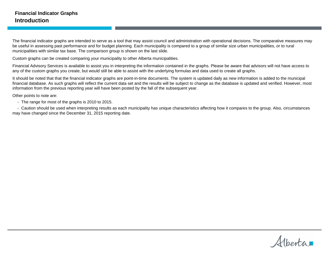The financial indicator graphs are intended to serve as a tool that may assist council and administration with operational decisions. The comparative measures may be useful in assessing past performance and for budget planning. Each municipality is compared to a group of similar size urban municipalities, or to rural municipalities with similar tax base. The comparison group is shown on the last slide.

Custom graphs can be created comparing your municipality to other Alberta municipalities.

Financial Advisory Services is available to assist you in interpreting the information contained in the graphs. Please be aware that advisors will not have access to any of the custom graphs you create, but would still be able to assist with the underlying formulas and data used to create all graphs.

It should be noted that that the financial indicator graphs are point-in-time documents. The system is updated daily as new information is added to the municipal financial database. As such graphs will reflect the current data set and the results will be subject to change as the database is updated and verified. However, most information from the previous reporting year will have been posted by the fall of the subsequent year.

Other points to note are:

- The range for most of the graphs is 2010 to 2015.

- Caution should be used when interpreting results as each municipality has unique characteristics affecting how it compares to the group. Also, circumstances may have changed since the December 31, 2015 reporting date.

Alberta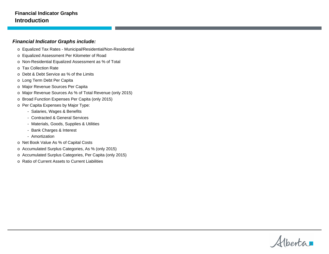#### **Financial Indicator Graphs Introduction**

#### **Financial Indicator Graphs include:**

- o Equalized Tax Rates Municipal/Residential/Non-Residential
- o Equalized Assessment Per Kilometer of Road
- o Non-Residential Equalized Assessment as % of Total
- o Tax Collection Rate
- o Debt & Debt Service as % of the Limits
- o Long Term Debt Per Capita
- o Major Revenue Sources Per Capita
- o Major Revenue Sources As % of Total Revenue (only 2015)
- o Broad Function Expenses Per Capita (only 2015)
- o Per Capita Expenses by Major Type:
	- Salaries, Wages & Benefits
	- Contracted & General Services
	- Materials, Goods, Supplies & Utilities
	- Bank Charges & Interest
	- Amortization
- o Net Book Value As % of Capital Costs
- o Accumulated Surplus Categories, As % (only 2015)
- o Accumulated Surplus Categories, Per Capita (only 2015)
- o Ratio of Current Assets to Current Liabilities

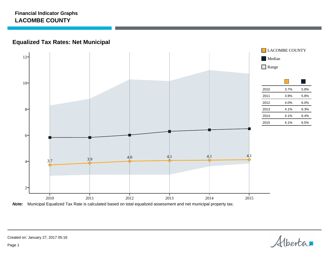## **Equalized Tax Rates: Net Municipal**



**Note:** Municipal Equalized Tax Rate is calculated based on total equalized assessment and net municipal property tax.

Alberta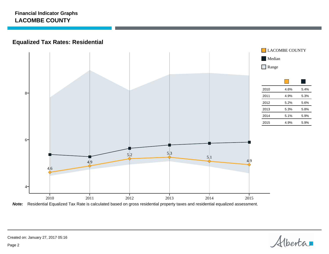## **Equalized Tax Rates: Residential**



**Note:** Residential Equalized Tax Rate is calculated based on gross residential property taxes and residential equalized assessment.

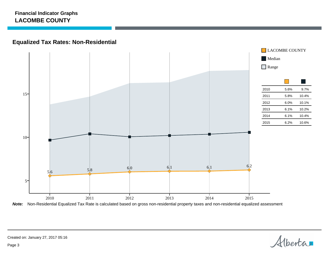## **Equalized Tax Rates: Non-Residential**



**Note:** Non-Residential Equalized Tax Rate is calculated based on gross non-residential property taxes and non-residential equalized assessment

Alberta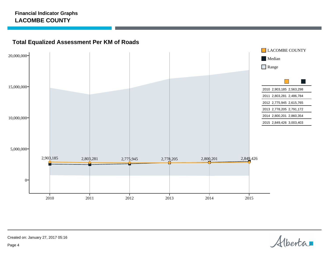## **Total Equalized Assessment Per KM of Roads**



Alberta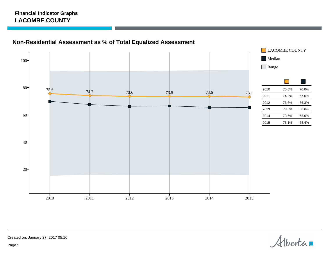## **Non-Residential Assessment as % of Total Equalized Assessment**



Alberta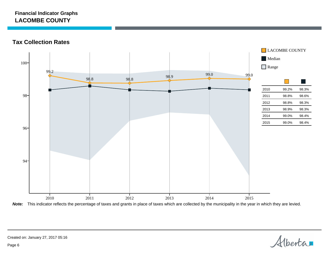**Tax Collection Rates**



**Note:** This indicator reflects the percentage of taxes and grants in place of taxes which are collected by the municipality in the year in which they are levied.

Alberta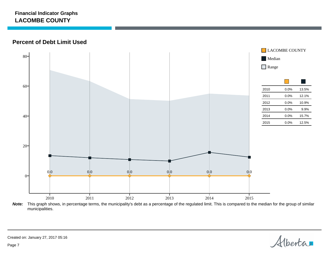**Percent of Debt Limit Used**



**Note:** This graph shows, in percentage terms, the municipality's debt as a percentage of the regulated limit. This is compared to the median for the group of similar municipalities.

Alberta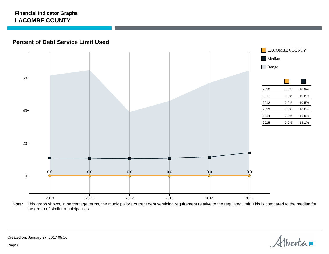#### **Percent of Debt Service Limit Used**



**Note:** This graph shows, in percentage terms, the municipality's current debt servicing requirement relative to the regulated limit. This is compared to the median for the group of similar municipalities.

Alberta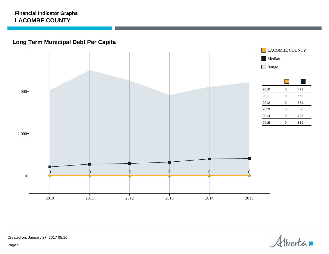## **Long Term Municipal Debt Per Capita**



Alberta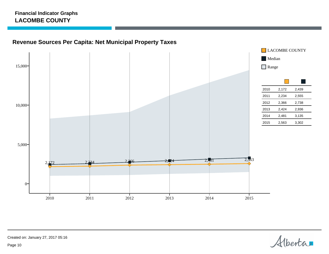## **Revenue Sources Per Capita: Net Municipal Property Taxes**



Alberta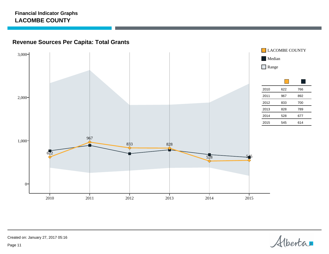## **Revenue Sources Per Capita: Total Grants**



Alberta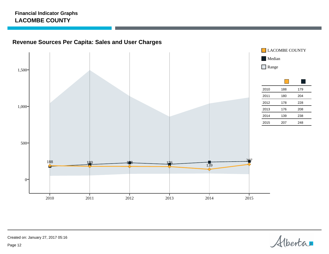## **Revenue Sources Per Capita: Sales and User Charges**



Alberta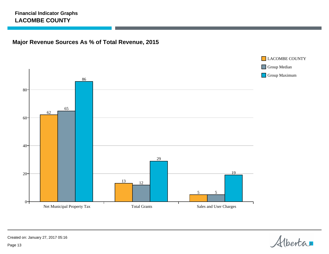## **Major Revenue Sources As % of Total Revenue, 2015**



Alberta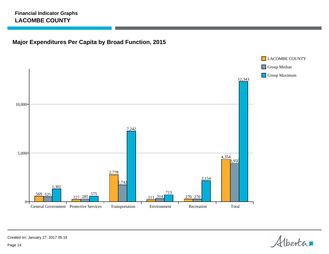## **Major Expenditures Per Capita by Broad Function, 2015**



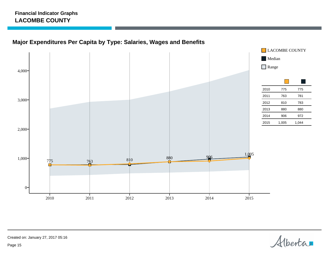## **Major Expenditures Per Capita by Type: Salaries, Wages and Benefits**



Alberta

Created on: January 27, 2017 05:16

Page 15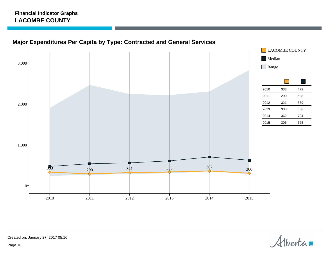## **Major Expenditures Per Capita by Type: Contracted and General Services**



Alberta

Created on: January 27, 2017 05:16

Page 16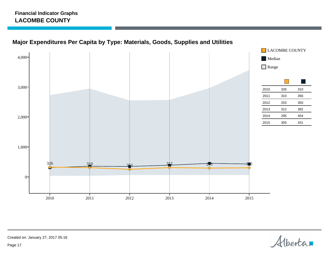



Alberta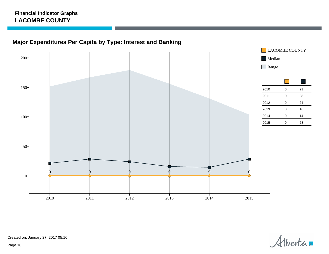# **Major Expenditures Per Capita by Type: Interest and Banking**



Alberta

Created on: January 27, 2017 05:16

Page 18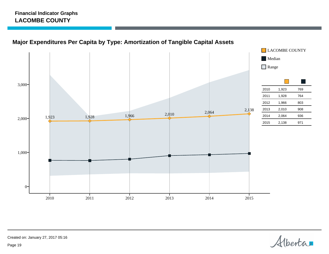## **Major Expenditures Per Capita by Type: Amortization of Tangible Capital Assets**



Alberta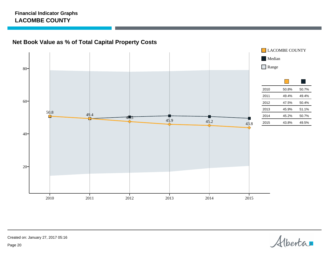**Net Book Value as % of Total Capital Property Costs**



Alberta

Created on: January 27, 2017 05:16

Page 20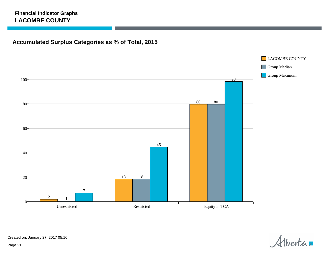## **Accumulated Surplus Categories as % of Total, 2015**



Alberta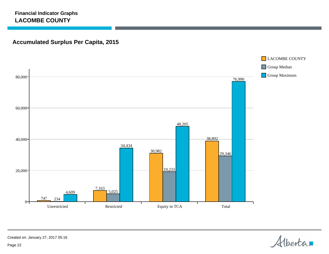## **Accumulated Surplus Per Capita, 2015**



Alberta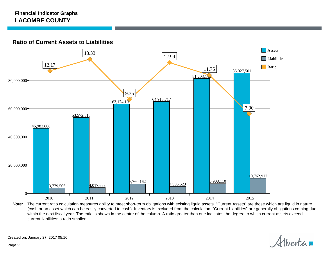**Ratio of Current Assets to Liabilities**



Note: The current ratio calculation measures ability to meet short-term obligations with existing liquid assets. "Current Assets" are those which are liquid in nature (cash or an asset which can be easily converted to cash). Inventory is excluded from the calculation. "Current Liabilities" are generally obligations coming due within the next fiscal year. The ratio is shown in the centre of the column. A ratio greater than one indicates the degree to which current assets exceed current liabilities; a ratio smaller

Alberta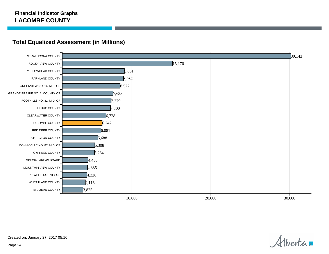

### **Total Equalized Assessment (in Millions)**

Alberta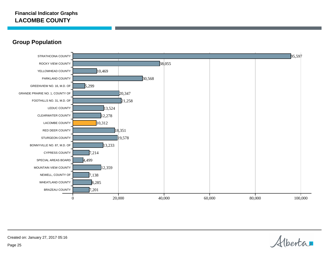### **Group Population**



Alberta